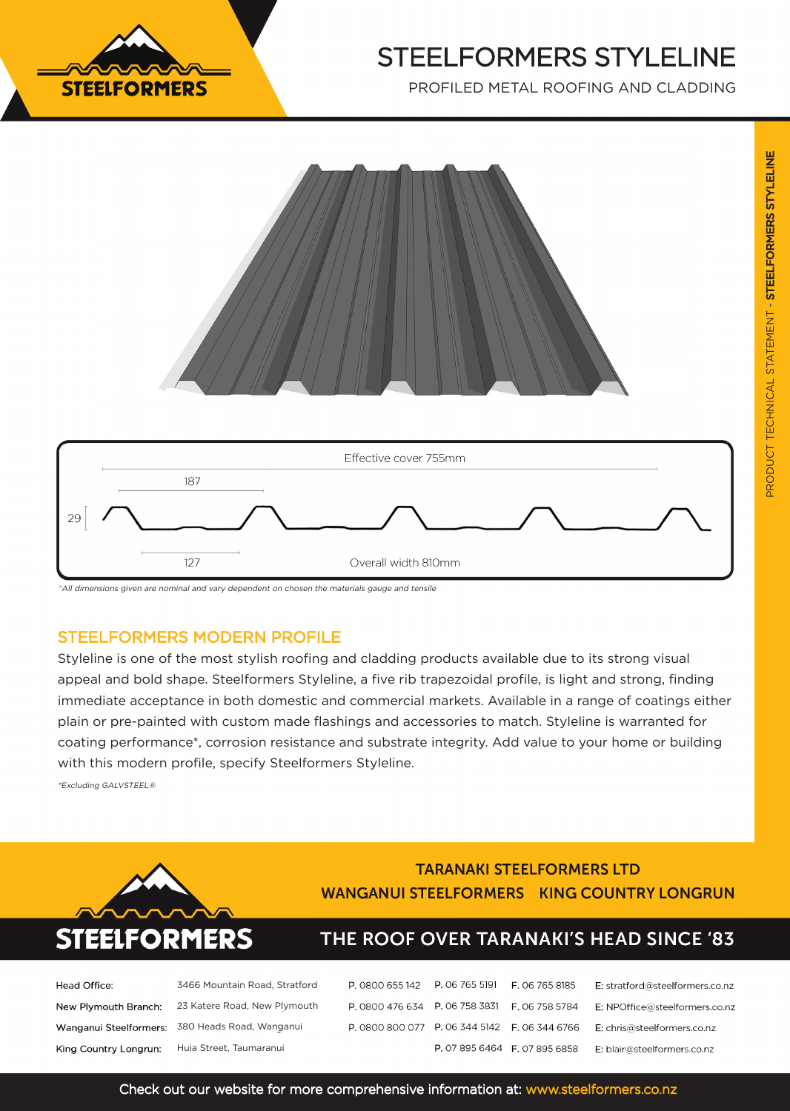

# STEELFORMERS STYLELINE

PROFILED METAL ROOFING AND CLADDING





^All dimensions given are nominal and vary dependent on chosen the materials gauge and tensile

### STEELFORMERS MODERN PROFILE

Styleline is one of the most stylish roofing and cladding products available due to its strong visual appeal and bold shape. Steelformers Styleline, a five rib trapezoidal profile, is light and strong, finding immediate acceptance in both domestic and commercial markets. Available in a range of coatings either plain or pre-painted with custom made flashings and accessories to match. Styleline is warranted for coating performance\*, corrosion resistance and substrate integrity. Add value to your home or building with this modern profile, specify Steelformers Styleline.

\*Excluding GALVSTEEL®



### **TARANAKI STEELFORMERS LTD WANGANUI STEELFORMERS KING COUNTRY LONGRUN**

## THE ROOF OVER TARANAKI'S HEAD SINCE '83

| Head Office:          | 3466 Mountain Road, Stratford                     |  |
|-----------------------|---------------------------------------------------|--|
|                       | New Plymouth Branch: 23 Katere Road, New Plymouth |  |
|                       | Wanganui Steelformers: 380 Heads Road, Wanganui   |  |
| King Country Longrun: | Huia Street, Taumaranui                           |  |

| P. 0800 655 142 P. 06 765 5191 F. 06 765 8185 |                               | E: stratford@steelformers.co.nz |
|-----------------------------------------------|-------------------------------|---------------------------------|
| P. 0800 476 634 P. 06 758 3831 F. 06 758 5784 |                               | E: NPOffice@steelformers.co.nz  |
| P. 0800 800 077 P. 06 344 5142 F. 06 344 6766 |                               | E: chris@steelformers.co.nz     |
|                                               | P. 07 895 6464 F. 07 895 6858 | E: blair@steelformers.co.nz     |